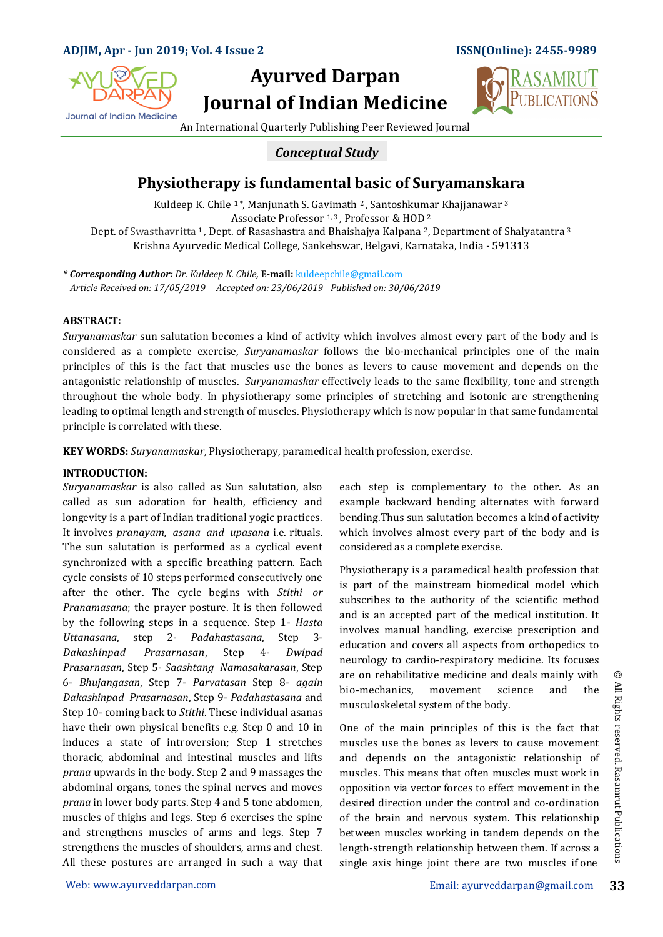

# **Ayurved Darpan Journal of Indian Medicine**



An International Quarterly Publishing Peer Reviewed Journal

### *Conceptual Study*

## **Physiotherapy is fundamental basic of Suryamanskara**

Associate Professor 1, 3, Professor & HOD 2 Dept. of Swasthavritta <sup>1</sup>, Dept. of Rasashastra and Bhaishajya Kalpana 2, Department of Shalyatantra <sup>3</sup> Kuldeep K. Chile **1 \***, Manjunath S. Gavimath 2 , Santoshkumar Khajjanawar <sup>3</sup> Krishna Ayurvedic Medical College, Sankehswar, Belgavi, Karnataka, India - 591313

*\* Corresponding Author: Dr. Kuldeep K. Chile,* **E-mail:** kuldeepchile@gmail.com  *Article Received on: 17/05/2019 Accepted on: 23/06/2019 Published on: 30/06/2019*

#### **ABSTRACT:**

*Suryanamaskar* sun salutation becomes a kind of activity which involves almost every part of the body and is considered as a complete exercise, *Suryanamaskar* follows the bio-mechanical principles one of the main principles of this is the fact that muscles use the bones as levers to cause movement and depends on the antagonistic relationship of muscles. *Suryanamaskar* effectively leads to the same flexibility, tone and strength throughout the whole body. In physiotherapy some principles of stretching and isotonic are strengthening leading to optimal length and strength of muscles. Physiotherapy which is now popular in that same fundamental principle is correlated with these.

**KEY WORDS:** *Suryanamaskar*, Physiotherapy, paramedical health profession, exercise.

#### **INTRODUCTION:**

*Suryanamaskar* is also called as Sun salutation, also called as sun adoration for health, efficiency and longevity is a part of Indian traditional yogic practices. It involves *pranayam, asana and upasana* i.e. rituals. The sun salutation is performed as a cyclical event synchronized with a specific breathing pattern. Each cycle consists of 10 steps performed consecutively one after the other. The cycle begins with *Stithi or Pranamasana*; the prayer posture. It is then followed by the following steps in a sequence. Step 1- *Hasta Uttanasana*, step 2- *Padahastasana*, Step 3- *Dakashinpad Prasarnasan*, Step 4- *Dwipad Prasarnasan*, Step 5- *Saashtang Namasakarasan*, Step 6- *Bhujangasan*, Step 7- *Parvatasan* Step 8- *again Dakashinpad Prasarnasan*, Step 9- *Padahastasana* and Step 10- coming back to *Stithi*. These individual asanas have their own physical benefits e.g. Step 0 and 10 in induces a state of introversion; Step 1 stretches thoracic, abdominal and intestinal muscles and lifts *prana* upwards in the body. Step 2 and 9 massages the abdominal organs, tones the spinal nerves and moves *prana* in lower body parts. Step 4 and 5 tone abdomen, muscles of thighs and legs. Step 6 exercises the spine and strengthens muscles of arms and legs. Step 7 strengthens the muscles of shoulders, arms and chest. All these postures are arranged in such a way that each step is complementary to the other. As an example backward bending alternates with forward bending.Thus sun salutation becomes a kind of activity which involves almost every part of the body and is considered as a complete exercise.

Physiotherapy is a paramedical health profession that is part of the mainstream biomedical model which subscribes to the authority of the scientific method and is an accepted part of the medical institution. It involves manual handling, exercise prescription and education and covers all aspects from orthopedics to neurology to cardio-respiratory medicine. Its focuses are on rehabilitative medicine and deals mainly with bio-mechanics, movement science and the musculoskeletal system of the body.

One of the main principles of this is the fact that muscles use the bones as levers to cause movement and depends on the antagonistic relationship of muscles. This means that often muscles must work in opposition via vector forces to effect movement in the desired direction under the control and co-ordination of the brain and nervous system. This relationship between muscles working in tandem depends on the length-strength relationship between them. If across a single axis hinge joint there are two muscles if one